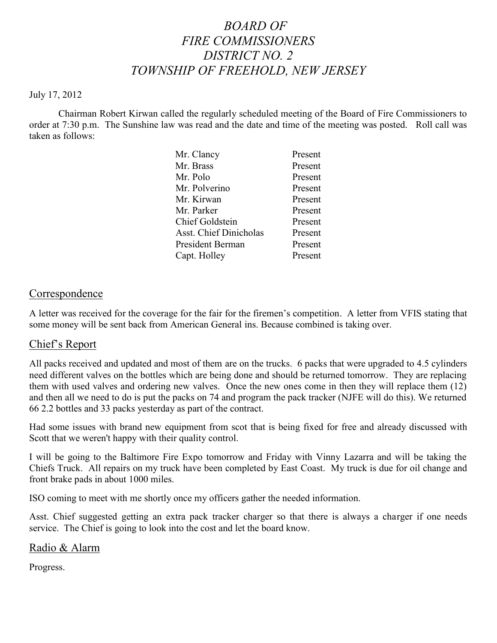## *BOARD OF FIRE COMMISSIONERS DISTRICT NO. 2 TOWNSHIP OF FREEHOLD, NEW JERSEY*

#### July 17, 2012

Chairman Robert Kirwan called the regularly scheduled meeting of the Board of Fire Commissioners to order at 7:30 p.m. The Sunshine law was read and the date and time of the meeting was posted. Roll call was taken as follows:

| Mr. Clancy                    | Present |
|-------------------------------|---------|
| Mr. Brass                     | Present |
| Mr. Polo                      | Present |
| Mr. Polverino                 | Present |
| Mr. Kirwan                    | Present |
| Mr. Parker                    | Present |
| <b>Chief Goldstein</b>        | Present |
| <b>Asst. Chief Dinicholas</b> | Present |
| President Berman              | Present |
| Capt. Holley                  | Present |
|                               |         |

#### Correspondence

A letter was received for the coverage for the fair for the firemen's competition. A letter from VFIS stating that some money will be sent back from American General ins. Because combined is taking over.

#### Chief's Report

All packs received and updated and most of them are on the trucks. 6 packs that were upgraded to 4.5 cylinders need different valves on the bottles which are being done and should be returned tomorrow. They are replacing them with used valves and ordering new valves. Once the new ones come in then they will replace them (12) and then all we need to do is put the packs on 74 and program the pack tracker (NJFE will do this). We returned 66 2.2 bottles and 33 packs yesterday as part of the contract.

Had some issues with brand new equipment from scot that is being fixed for free and already discussed with Scott that we weren't happy with their quality control.

I will be going to the Baltimore Fire Expo tomorrow and Friday with Vinny Lazarra and will be taking the Chiefs Truck. All repairs on my truck have been completed by East Coast. My truck is due for oil change and front brake pads in about 1000 miles.

ISO coming to meet with me shortly once my officers gather the needed information.

Asst. Chief suggested getting an extra pack tracker charger so that there is always a charger if one needs service. The Chief is going to look into the cost and let the board know.

#### Radio & Alarm

Progress.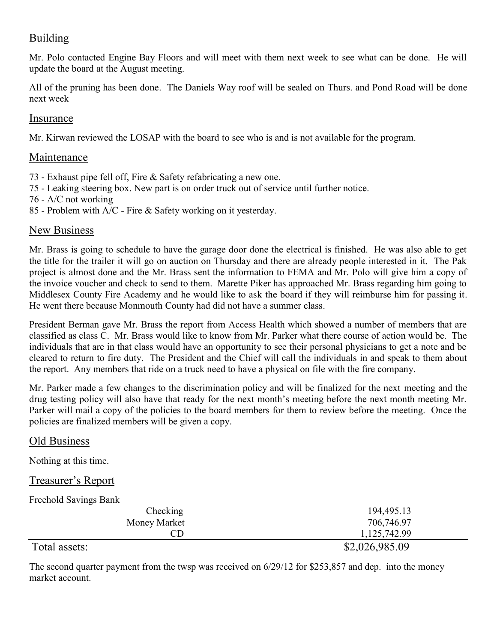## Building

Mr. Polo contacted Engine Bay Floors and will meet with them next week to see what can be done. He will update the board at the August meeting.

All of the pruning has been done. The Daniels Way roof will be sealed on Thurs. and Pond Road will be done next week

### Insurance

Mr. Kirwan reviewed the LOSAP with the board to see who is and is not available for the program.

## Maintenance

- 73 Exhaust pipe fell off, Fire & Safety refabricating a new one.
- 75 Leaking steering box. New part is on order truck out of service until further notice.
- 76 A/C not working
- 85 Problem with A/C Fire & Safety working on it yesterday.

## New Business

Mr. Brass is going to schedule to have the garage door done the electrical is finished. He was also able to get the title for the trailer it will go on auction on Thursday and there are already people interested in it. The Pak project is almost done and the Mr. Brass sent the information to FEMA and Mr. Polo will give him a copy of the invoice voucher and check to send to them. Marette Piker has approached Mr. Brass regarding him going to Middlesex County Fire Academy and he would like to ask the board if they will reimburse him for passing it. He went there because Monmouth County had did not have a summer class.

President Berman gave Mr. Brass the report from Access Health which showed a number of members that are classified as class C. Mr. Brass would like to know from Mr. Parker what there course of action would be. The individuals that are in that class would have an opportunity to see their personal physicians to get a note and be cleared to return to fire duty. The President and the Chief will call the individuals in and speak to them about the report. Any members that ride on a truck need to have a physical on file with the fire company.

Mr. Parker made a few changes to the discrimination policy and will be finalized for the next meeting and the drug testing policy will also have that ready for the next month's meeting before the next month meeting Mr. Parker will mail a copy of the policies to the board members for them to review before the meeting. Once the policies are finalized members will be given a copy.

#### Old Business

Nothing at this time.

#### Treasurer's Report

Freehold Savings Bank

| Checking      | 194,495.13     |
|---------------|----------------|
| Money Market  | 706,746.97     |
| CD            | 1,125,742.99   |
| Total assets: | \$2,026,985.09 |

The second quarter payment from the twsp was received on 6/29/12 for \$253,857 and dep. into the money market account.